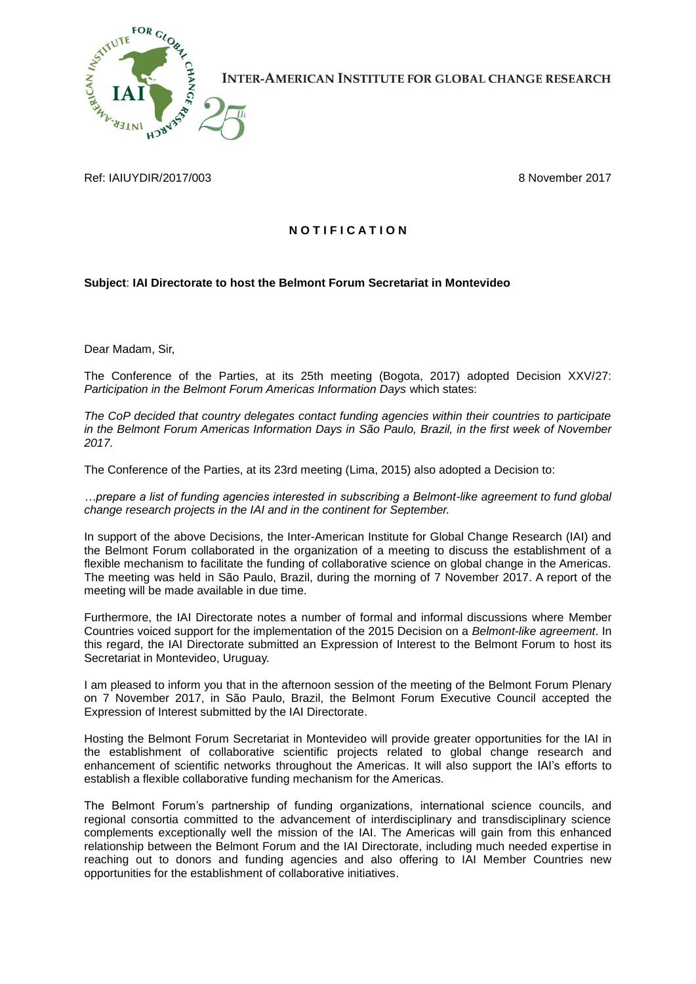

**INTER-AMERICAN INSTITUTE FOR GLOBAL CHANGE RESEARCH** 

Ref: IAIUYDIR/2017/003 8 November 2017

## **N O T I F I C A T I O N**

## **Subject**: **IAI Directorate to host the Belmont Forum Secretariat in Montevideo**

Dear Madam, Sir,

The Conference of the Parties, at its 25th meeting (Bogota, 2017) adopted Decision XXV/27: *Participation in the Belmont Forum Americas Information Days* which states:

*The CoP decided that country delegates contact funding agencies within their countries to participate in the Belmont Forum Americas Information Days in São Paulo, Brazil, in the first week of November 2017.*

The Conference of the Parties, at its 23rd meeting (Lima, 2015) also adopted a Decision to:

*…prepare a list of funding agencies interested in subscribing a Belmont-like agreement to fund global change research projects in the IAI and in the continent for September.*

In support of the above Decisions, the Inter-American Institute for Global Change Research (IAI) and the Belmont Forum collaborated in the organization of a meeting to discuss the establishment of a flexible mechanism to facilitate the funding of collaborative science on global change in the Americas. The meeting was held in São Paulo, Brazil, during the morning of 7 November 2017. A report of the meeting will be made available in due time.

Furthermore, the IAI Directorate notes a number of formal and informal discussions where Member Countries voiced support for the implementation of the 2015 Decision on a *Belmont-like agreement*. In this regard, the IAI Directorate submitted an Expression of Interest to the Belmont Forum to host its Secretariat in Montevideo, Uruguay.

I am pleased to inform you that in the afternoon session of the meeting of the Belmont Forum Plenary on 7 November 2017, in São Paulo, Brazil, the Belmont Forum Executive Council accepted the Expression of Interest submitted by the IAI Directorate.

Hosting the Belmont Forum Secretariat in Montevideo will provide greater opportunities for the IAI in the establishment of collaborative scientific projects related to global change research and enhancement of scientific networks throughout the Americas. It will also support the IAI's efforts to establish a flexible collaborative funding mechanism for the Americas.

The Belmont Forum's partnership of funding organizations, international science councils, and regional consortia committed to the advancement of interdisciplinary and transdisciplinary science complements exceptionally well the mission of the IAI. The Americas will gain from this enhanced relationship between the Belmont Forum and the IAI Directorate, including much needed expertise in reaching out to donors and funding agencies and also offering to IAI Member Countries new opportunities for the establishment of collaborative initiatives.